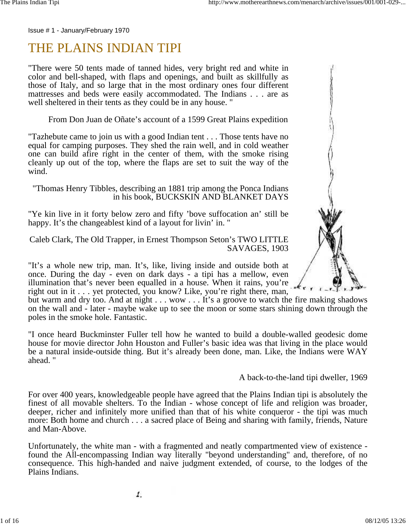Issue # 1 - January/February 1970

# THE PLAINS INDIAN TIPI

"There were 50 tents made of tanned hides, very bright red and white in color and bell-shaped, with flaps and openings, and built as skillfully as those of Italy, and so large that in the most ordinary ones four different mattresses and beds were easily accommodated. The Indians . . . are as well sheltered in their tents as they could be in any house. "

From Don Juan de Oñate's account of a 1599 Great Plains expedition

"Tazhebute came to join us with a good Indian tent . . . Those tents have no equal for camping purposes. They shed the rain well, and in cold weather one can build afire right in the center of them, with the smoke rising cleanly up out of the top, where the flaps are set to suit the way of the wind.

"Thomas Henry Tibbles, describing an 1881 trip among the Ponca Indians in his book, BUCKSKIN AND BLANKET DAYS

"Ye kin live in it forty below zero and fifty 'bove suffocation an' still be happy. It's the changeablest kind of a layout for livin' in. "

Caleb Clark, The Old Trapper, in Ernest Thompson Seton's TWO LITTLE SAVAGES, 1903

"It's a whole new trip, man. It's, like, living inside and outside both at once. During the day - even on dark days - a tipi has a mellow, even illumination that's never been equalled in a house. When it rains, you're right out in it . . . yet protected, you know? Like, you're right there, man,

but warm and dry too. And at night . . . wow . . . It's a groove to watch the fire making shadows on the wall and - later - maybe wake up to see the moon or some stars shining down through the poles in the smoke hole. Fantastic.

"I once heard Buckminster Fuller tell how he wanted to build a double-walled geodesic dome house for movie director John Houston and Fuller's basic idea was that living in the place would be a natural inside-outside thing. But it's already been done, man. Like, the Indians were WAY ahead. "

A back-to-the-land tipi dweller, 1969

For over 400 years, knowledgeable people have agreed that the Plains Indian tipi is absolutely the finest of all movable shelters. To the Indian - whose concept of life and religion was broader, deeper, richer and infinitely more unified than that of his white conqueror - the tipi was much more: Both home and church . . . a sacred place of Being and sharing with family, friends, Nature and Man-Above.

Unfortunately, the white man - with a fragmented and neatly compartmented view of existence found the All-encompassing Indian way literally "beyond understanding" and, therefore, of no consequence. This high-handed and naive judgment extended, of course, to the lodges of the Plains Indians.

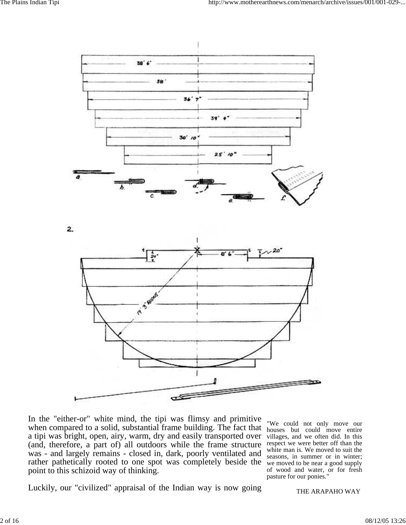

when compared to a solid, substantial frame building. The fact that we could not only nove our a tipi was bright, open, airy, warm, dry and easily transported over villages, and we often did. In this rather pathetically rooted to one spot was completely beside the we moved to be near a good supply In the "either-or" white mind, the tipi was flimsy and primitive (and, therefore, a part of) all outdoors while the frame structure was - and largely remains - closed in, dark, poorly ventilated and point to this schizoid way of thinking.

"We could not only move our respect we were better off than the white man is. We moved to suit the seasons, in summer or in winter; of wood and water, or for fresh pasture for our ponies."

Luckily, our "civilized" appraisal of the Indian way is now going

THE ARAPAHO WAY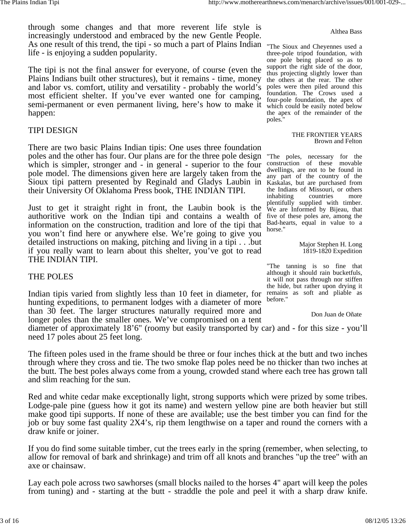As one result of this trend, the tipi - so much a part of Plains Indian "The Sioux and Cheyennes used a through some changes and that more reverent life style is increasingly understood and embraced by the new Gentle People. life - is enjoying a sudden popularity.

semi-permanent or even permanent living, here's how to make it which could be easily noted below The tipi is not the final answer for everyone, of course (even the Plains Indians built other structures), but it remains - time, money and labor vs. comfort, utility and versatility - probably the world's most efficient shelter. If you've ever wanted one for camping, happen:

## TIPI DESIGN

poles and the other has four. Our plans are for the three pole design "The poles, necessary for the Sioux tipi pattern presented by Reginald and Gladys Laubin in Kaskalas, but are purchased from There are two basic Plains Indian tipis: One uses three foundation which is simpler, stronger and - in general - superior to the four pole model. The dimensions given here are largely taken from the their University Of Oklahoma Press book, THE INDIAN TIPI.

Just to get it straight right in front, the Laubin book is the authoritive work on the Indian tipi and contains a wealth of information on the construction, tradition and lore of the tipi that you won't find here or anywhere else. We're going to give you detailed instructions on making, pitching and living in a tipi . . .but if you really want to learn about this shelter, you've got to read THE INDIAN TIPI.

## THE POLES

Indian tipis varied from slightly less than 10 feet in diameter, for remains as soft and pliable as hunting expeditions, to permanent lodges with a diameter of more than 30 feet. The larger structures naturally required more and longer poles than the smaller ones. We've compromised on a tent

#### Althea Bass

three-pole tripod foundation, with one pole being placed so as to support the right side of the door, thus projecting slightly lower than the others at the rear. The other poles were then piled around this foundation. The Crows used a four-pole foundation, the apex of the apex of the remainder of the poles."

#### THE FRONTIER YEARS Brown and Felton

construction of these movable dwellings, are not to be found in any part of the country of the the Indians of Missouri, or others<br>inhabiting countries more countries more plentifully supplied with timber. We are Informed by Bijeau, that five of these poles are, among the Bad-hearts, equal in value to a horse."

> Major Stephen H. Long 1819-1820 Expedition

"The tanning is so fine that although it should rain bucketfuls, it will not pass through nor stiffen the hide, but rather upon drying it before."

Don Juan de Oñate

diameter of approximately 18'6" (roomy but easily transported by car) and - for this size - you'll need 17 poles about 25 feet long.

The fifteen poles used in the frame should be three or four inches thick at the butt and two inches through where they cross and tie. The two smoke flap poles need be no thicker than two inches at the butt. The best poles always come from a young, crowded stand where each tree has grown tall and slim reaching for the sun.

Red and white cedar make exceptionally light, strong supports which were prized by some tribes. Lodge-pale pine (guess how it got its name) and western yellow pine are both heavier but still make good tipi supports. If none of these are available; use the best timber you can find for the job or buy some fast quality 2X4's, rip them lengthwise on a taper and round the corners with a draw knife or joiner.

If you do find some suitable timber, cut the trees early in the spring (remember, when selecting, to allow for removal of bark and shrinkage) and trim off all knots and branches "up the tree" with an axe or chainsaw.

Lay each pole across two sawhorses (small blocks nailed to the horses 4" apart will keep the poles from tuning) and - starting at the butt - straddle the pole and peel it with a sharp draw knife.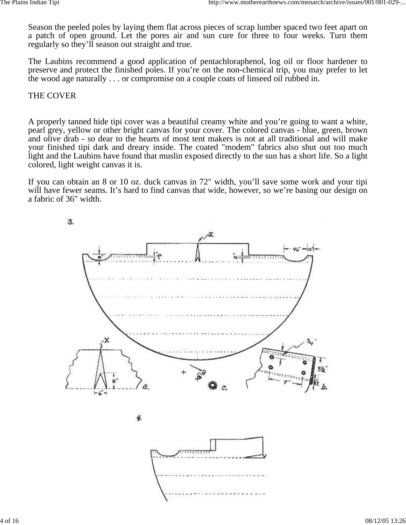Season the peeled poles by laying them flat across pieces of scrap lumber spaced two feet apart on a patch of open ground. Let the pores air and sun cure for three to four weeks. Turn them regularly so they'll season out straight and true.

The Laubins recommend a good application of pentachloraphenol, log oil or floor hardener to preserve and protect the finished poles. If you're on the non-chemical trip, you may prefer to let the wood age naturally . . . or compromise on a couple coats of linseed oil rubbed in.

THE COVER

A properly tanned hide tipi cover was a beautiful creamy white and you're going to want a white, pearl grey, yellow or other bright canvas for your cover. The colored canvas - blue, green, brown and olive drab - so dear to the hearts of most tent makers is not at all traditional and will make your finished tipi dark and dreary inside. The coated "modem" fabrics also shut out too much light and the Laubins have found that muslin exposed directly to the sun has a short life. So a light colored, light weight canvas it is.

If you can obtain an 8 or 10 oz. duck canvas in 72" width, you'll save some work and your tipi will have fewer seams. It's hard to find canvas that wide, however, so we're basing our design on a fabric of 36" width.

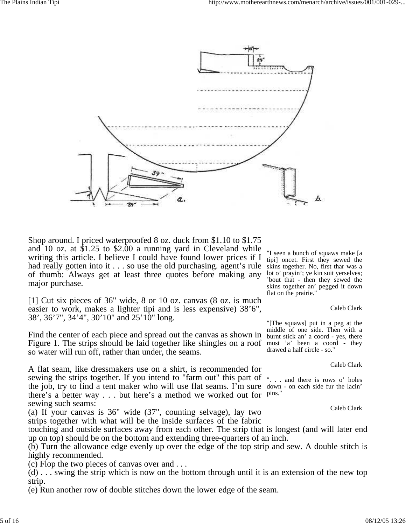

had really gotten into it . . . so use the old purchasing. agent's rule skins together. No, first thar was a Shop around. I priced waterproofed 8 oz. duck from \$1.10 to \$1.75 and 10 oz. at \$1.25 to \$2.00 a running yard in Cleveland while writing this article. I believe I could have found lower prices if I of thumb: Always get at least three quotes before making any major purchase.

[1] Cut six pieces of 36" wide, 8 or 10 oz. canvas (8 oz. is much easier to work, makes a lighter tipi and is less expensive) 38'6", 38', 36'7", 34'4", 30'10" and 25'10" long.

Find the center of each piece and spread out the canvas as shown in  $\frac{1}{2}$  burnt stick an' a coord - yes, there Figure 1. The strips should be laid together like shingles on a roof must 'a' been a coord - they so water will run off, rather than under, the seams.

the job, try to find a tent maker who will use flat seams. I'm sure down - on each side fur the lacin' there's a better way . . . but here's a method we worked out for pins." A flat seam, like dressmakers use on a shirt, is recommended for sewing the strips together. If you intend to "farm out" this part of sewing such seams:

(a) If your canvas is 36" wide (37", counting selvage), lay two strips together with what will be the inside surfaces of the fabric

touching and outside surfaces away from each other. The strip that is longest (and will later end up on top) should be on the bottom and extending three-quarters of an inch.

(b) Turn the allowance edge evenly up over the edge of the top strip and sew. A double stitch is highly recommended.

(c) Flop the two pieces of canvas over and . . .

(d) . . . swing the strip which is now on the bottom through until it is an extension of the new top strip.

(e) Run another row of double stitches down the lower edge of the seam.

"I seen a bunch of squaws make [a tipi] oncet. First they sewed the lot o' prayin'; ye kin suit yerselves; 'bout that - then they sewed the skins together an' pegged it down flat on the prairie."

Caleb Clark

"[The squaws] put in a peg at the middle of one side. Then with a drawed a half circle - so."

Caleb Clark

". . . and there is rows o' holes

Caleb Clark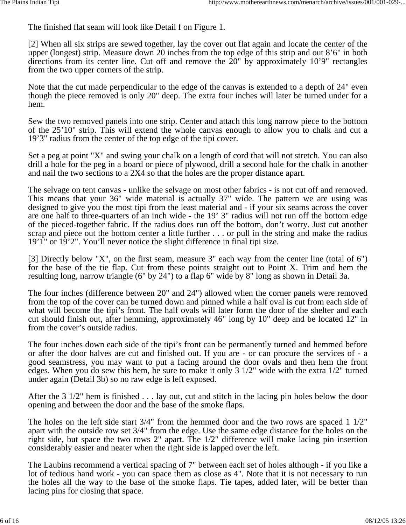The finished flat seam will look like Detail f on Figure 1.

[2] When all six strips are sewed together, lay the cover out flat again and locate the center of the upper (longest) strip. Measure down 20 inches from the top edge of this strip and out 8'6" in both directions from its center line. Cut off and remove the 20" by approximately 10'9" rectangles from the two upper corners of the strip.

Note that the cut made perpendicular to the edge of the canvas is extended to a depth of 24" even though the piece removed is only 20" deep. The extra four inches will later be turned under for a hem.

Sew the two removed panels into one strip. Center and attach this long narrow piece to the bottom of the 25'10" strip. This will extend the whole canvas enough to allow you to chalk and cut a 19'3" radius from the center of the top edge of the tipi cover.

Set a peg at point "X" and swing your chalk on a length of cord that will not stretch. You can also drill a hole for the peg in a board or piece of plywood, drill a second hole for the chalk in another and nail the two sections to a 2X4 so that the holes are the proper distance apart.

The selvage on tent canvas - unlike the selvage on most other fabrics - is not cut off and removed. This means that your 36" wide material is actually 37" wide. The pattern we are using was designed to give you the most tipi from the least material and - if your six seams across the cover are one half to three-quarters of an inch wide - the 19' 3" radius will not run off the bottom edge of the pieced-together fabric. If the radius does run off the bottom, don't worry. Just cut another scrap and piece out the bottom center a little further . . . or pull in the string and make the radius 19'1" or 19'2". You'll never notice the slight difference in final tipi size.

[3] Directly below "X", on the first seam, measure 3" each way from the center line (total of 6") for the base of the tie flap. Cut from these points straight out to Point X. Trim and hem the resulting long, narrow triangle (6" by 24") to a flap 6" wide by 8" long as shown in Detail 3a.

The four inches (difference between 20" and 24") allowed when the corner panels were removed from the top of the cover can be turned down and pinned while a half oval is cut from each side of what will become the tipi's front. The half ovals will later form the door of the shelter and each cut should finish out, after hemming, approximately 46" long by 10" deep and be located 12" in from the cover's outside radius.

The four inches down each side of the tipi's front can be permanently turned and hemmed before or after the door halves are cut and finished out. If you are - or can procure the services of - a good seamstress, you may want to put a facing around the door ovals and then hem the front edges. When you do sew this hem, be sure to make it only 3 1/2" wide with the extra 1/2" turned under again (Detail 3b) so no raw edge is left exposed.

After the 3 1/2" hem is finished . . . lay out, cut and stitch in the lacing pin holes below the door opening and between the door and the base of the smoke flaps.

The holes on the left side start 3/4" from the hemmed door and the two rows are spaced 1 1/2" apart with the outside row set 3/4" from the edge. Use the same edge distance for the holes on the right side, but space the two rows 2" apart. The 1/2" difference will make lacing pin insertion considerably easier and neater when the right side is lapped over the left.

The Laubins recommend a vertical spacing of 7" between each set of holes although - if you like a lot of tedious hand work - you can space them as close as 4". Note that it is not necessary to run the holes all the way to the base of the smoke flaps. Tie tapes, added later, will be better than lacing pins for closing that space.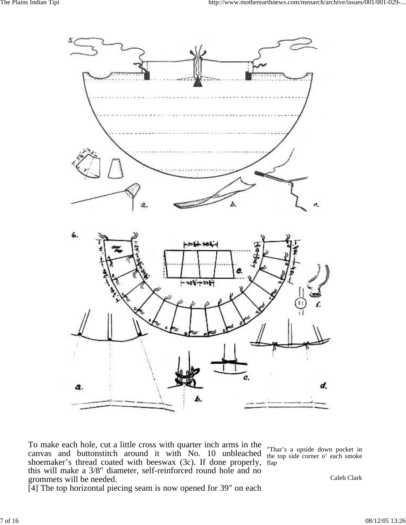

To make each hole, cut a little cross with quarter inch arms in the canvas and buttonstitch around it with No. 10 unbleached shoemaker's thread coated with beeswax (3c). If done properly, this will make a 3/8" diameter, self-reinforced round hole and no grommets will be needed.

"Thar's a upside down pocket in the top side corner o' each smoke flap

Caleb Clark

[4] The top horizontal piecing seam is now opened for 39" on each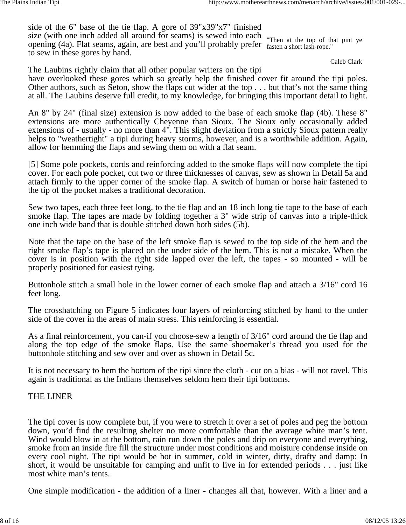"Then at the top of that pint ye fasten a short lash-rope." side of the 6" base of the tie flap. A gore of 39"x39"x7" finished size (with one inch added all around for seams) is sewed into each opening (4a). Flat seams, again, are best and you'll probably prefer to sew in these gores by hand.

Caleb Clark

The Laubins rightly claim that all other popular writers on the tipi have overlooked these gores which so greatly help the finished cover fit around the tipi poles. Other authors, such as Seton, show the flaps cut wider at the top . . . but that's not the same thing at all. The Laubins deserve full credit, to my knowledge, for bringing this important detail to light.

An 8" by 24" (final size) extension is now added to the base of each smoke flap (4b). These 8" extensions are more authentically Cheyenne than Sioux. The Sioux only occasionally added extensions of - usually - no more than 4". This slight deviation from a strictly Sioux pattern really helps to "weathertight" a tipi during heavy storms, however, and is a worthwhile addition. Again, allow for hemming the flaps and sewing them on with a flat seam.

[5] Some pole pockets, cords and reinforcing added to the smoke flaps will now complete the tipi cover. For each pole pocket, cut two or three thicknesses of canvas, sew as shown in Detail 5a and attach firmly to the upper corner of the smoke flap. A switch of human or horse hair fastened to the tip of the pocket makes a traditional decoration.

Sew two tapes, each three feet long, to the tie flap and an 18 inch long tie tape to the base of each smoke flap. The tapes are made by folding together a 3" wide strip of canvas into a triple-thick one inch wide band that is double stitched down both sides (5b).

Note that the tape on the base of the left smoke flap is sewed to the top side of the hem and the right smoke flap's tape is placed on the under side of the hem. This is not a mistake. When the cover is in position with the right side lapped over the left, the tapes - so mounted - will be properly positioned for easiest tying.

Buttonhole stitch a small hole in the lower corner of each smoke flap and attach a 3/16" cord 16 feet long.

The crosshatching on Figure 5 indicates four layers of reinforcing stitched by hand to the under side of the cover in the areas of main stress. This reinforcing is essential.

As a final reinforcement, you can-if you choose-sew a length of 3/16" cord around the tie flap and along the top edge of the smoke flaps. Use the same shoemaker's thread you used for the buttonhole stitching and sew over and over as shown in Detail 5c.

It is not necessary to hem the bottom of the tipi since the cloth - cut on a bias - will not ravel. This again is traditional as the Indians themselves seldom hem their tipi bottoms.

## THE LINER

The tipi cover is now complete but, if you were to stretch it over a set of poles and peg the bottom down, you'd find the resulting shelter no more comfortable than the average white man's tent. Wind would blow in at the bottom, rain run down the poles and drip on everyone and everything, smoke from an inside fire fill the structure under most conditions and moisture condense inside on every cool night. The tipi would be hot in summer, cold in winter, dirty, drafty and damp: In short, it would be unsuitable for camping and unfit to live in for extended periods . . . just like most white man's tents.

One simple modification - the addition of a liner - changes all that, however. With a liner and a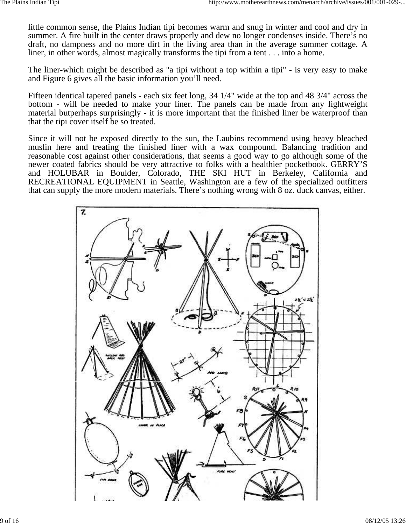little common sense, the Plains Indian tipi becomes warm and snug in winter and cool and dry in summer. A fire built in the center draws properly and dew no longer condenses inside. There's no draft, no dampness and no more dirt in the living area than in the average summer cottage. A liner, in other words, almost magically transforms the tipi from a tent . . . into a home.

The liner-which might be described as "a tipi without a top within a tipi" - is very easy to make and Figure 6 gives all the basic information you'll need.

Fifteen identical tapered panels - each six feet long, 34 1/4" wide at the top and 48 3/4" across the bottom - will be needed to make your liner. The panels can be made from any lightweight material butperhaps surprisingly - it is more important that the finished liner be waterproof than that the tipi cover itself be so treated.

Since it will not be exposed directly to the sun, the Laubins recommend using heavy bleached muslin here and treating the finished liner with a wax compound. Balancing tradition and reasonable cost against other considerations, that seems a good way to go although some of the newer coated fabrics should be very attractive to folks with a healthier pocketbook. GERRY'S and HOLUBAR in Boulder, Colorado, THE SKI HUT in Berkeley, California and RECREATIONAL EQUIPMENT in Seattle, Washington are a few of the specialized outfitters that can supply the more modern materials. There's nothing wrong with 8 oz. duck canvas, either.

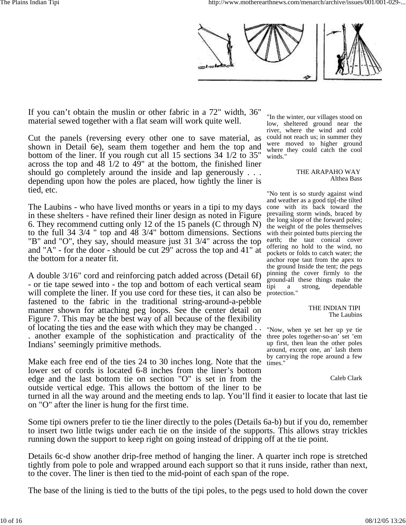

If you can't obtain the muslin or other fabric in a 72" width, 36" material sewed together with a flat seam will work quite well.

Cut the panels (reversing every other one to save material, as shown in Detail 6e), seam them together and hem the top and bottom of the liner. If you rough cut all 15 sections 34 1/2 to 35" across the top and 48 1/2 to 49" at the bottom, the finished liner should go completely around the inside and lap generously . . . depending upon how the poles are placed, how tightly the liner is tied, etc.

to the full 34  $3/4$  " top and 48  $3/4$ " bottom dimensions. Sections with their pointed butts piercing the The Laubins - who have lived months or years in a tipi to my days in these shelters - have refined their liner design as noted in Figure 6. They recommend cutting only 12 of the 15 panels (C through N) "B" and "O", they say, should measure just 31 3/4" across the top and "A" - for the door - should be cut  $29$ " across the top and  $41$ " at the bottom for a neater fit.

will complete the liner. If you use cord for these ties, it can also be protection." of locating the ties and the ease with which they may be changed . . "Now, when ye set her up ye tie . another example of the sophistication and practicality of the three poles together-so-an' set 'em A double 3/16" cord and reinforcing patch added across (Detail 6f) - or tie tape sewed into - the top and bottom of each vertical seam fastened to the fabric in the traditional string-around-a-pebble manner shown for attaching peg loops. See the center detail on Figure 7. This may be the best way of all because of the flexibility Indians' seemingly primitive methods.

Make each free end of the ties 24 to 30 inches long. Note that the  $\frac{55}{\text{times}}$ . lower set of cords is located 6-8 inches from the liner's bottom edge and the last bottom tie on section "O" is set in from the outside vertical edge. This allows the bottom of the liner to be

"In the winter, our villages stood on low, sheltered ground near the river, where the wind and cold could not reach us; in summer they were moved to higher ground where they could catch the cool winds."

> THE ARAPAHO WAY Althea Bass

"No tent is so sturdy against wind and weather as a good tip[-the tilted cone with its back toward the prevailing storm winds, braced by the long slope of the forward poles; the weight of the poles themselves earth; the taut conical cover offering no hold to the wind, no pockets or folds to catch water; the anchor rope taut from the apex to the ground Inside the tent; the pegs pinning the cover firmly to the ground-all these things make the tipi a strong, dependable

> THE INDIAN TIPI The Laubins

up first, then lean the other poles around, except one, an' lash them by carrying the rope around a few

Caleb Clark

turned in all the way around and the meeting ends to lap. You'll find it easier to locate that last tie on "O" after the liner is hung for the first time.

Some tipi owners prefer to tie the liner directly to the poles (Details 6a-b) but if you do, remember to insert two little twigs under each tie on the inside of the supports. This allows stray trickles running down the support to keep right on going instead of dripping off at the tie point.

Details 6c-d show another drip-free method of hanging the liner. A quarter inch rope is stretched tightly from pole to pole and wrapped around each support so that it runs inside, rather than next, to the cover. The liner is then tied to the mid-point of each span of the rope.

The base of the lining is tied to the butts of the tipi poles, to the pegs used to hold down the cover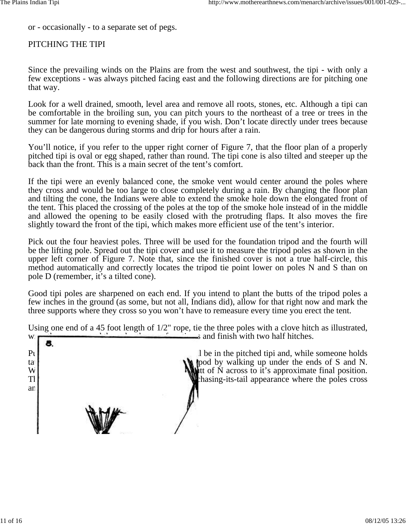or - occasionally - to a separate set of pegs.

# PITCHING THE TIPI

Since the prevailing winds on the Plains are from the west and southwest, the tipi - with only a few exceptions - was always pitched facing east and the following directions are for pitching one that way.

Look for a well drained, smooth, level area and remove all roots, stones, etc. Although a tipi can be comfortable in the broiling sun, you can pitch yours to the northeast of a tree or trees in the summer for late morning to evening shade, if you wish. Don't locate directly under trees because they can be dangerous during storms and drip for hours after a rain.

You'll notice, if you refer to the upper right corner of Figure 7, that the floor plan of a properly pitched tipi is oval or egg shaped, rather than round. The tipi cone is also tilted and steeper up the back than the front. This is a main secret of the tent's comfort.

If the tipi were an evenly balanced cone, the smoke vent would center around the poles where they cross and would be too large to close completely during a rain. By changing the floor plan and tilting the cone, the Indians were able to extend the smoke hole down the elongated front of the tent. This placed the crossing of the poles at the top of the smoke hole instead of in the middle and allowed the opening to be easily closed with the protruding flaps. It also moves the fire slightly toward the front of the tipi, which makes more efficient use of the tent's interior.

Pick out the four heaviest poles. Three will be used for the foundation tripod and the fourth will be the lifting pole. Spread out the tipi cover and use it to measure the tripod poles as shown in the upper left corner of Figure 7. Note that, since the finished cover is not a true half-circle, this method automatically and correctly locates the tripod tie point lower on poles N and S than on pole D (remember, it's a tilted cone).

Good tipi poles are sharpened on each end. If you intend to plant the butts of the tripod poles a few inches in the ground (as some, but not all, Indians did), allow for that right now and mark the three supports where they cross so you won't have to remeasure every time you erect the tent.

Using one end of a 45 foot length of 1/2" rope, tie the three poles with a clove hitch as illustrated,

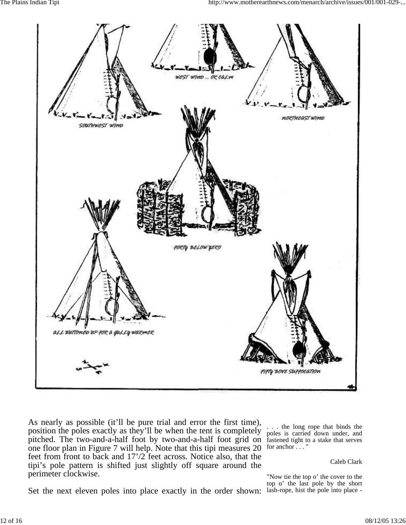

pitched. The two-and-a-half foot by two-and-a-half foot grid on fastened tight to a stake that serves one floor plan in Figure 7 will help. Note that this tipi measures 20 for anchor..." As nearly as possible (it'll be pure trial and error the first time), position the poles exactly as they'll be when the tent is completely feet from front to back and 17'/2 feet across. Notice also, that the tipi's pole pattern is shifted just slightly off square around the perimeter clockwise.

. . . the long rope that binds the poles is carried down under, and

Caleb Clark

"Now tie the top o' the cover to the top o' the last pole by the short

Set the next eleven poles into place exactly in the order shown: lash-rope, hist the pole into place -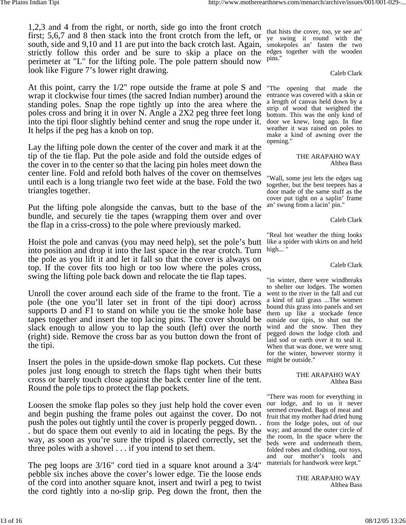1,2,3 and 4 from the right, or north, side go into the front crotch first; 5,6,7 and 8 then stack into the front crotch from the left, or south, side and 9,10 and 11 are put into the back crotch last. Again, strictly follow this order and be sure to skip a place on the perimeter at "L" for the lifting pole. The pole pattern should now look like Figure 7's lower right drawing.

At this point, carry the 1/2" rope outside the frame at pole S and wrap it clockwise four times (the sacred Indian number) around the standing poles. Snap the rope tightly up into the area where the poles cross and bring it in over N. Angle a 2X2 peg three feet long into the tipi floor slightly behind center and snug the rope under it. It helps if the peg has a knob on top.

Lay the lifting pole down the center of the cover and mark it at the tip of the tie flap. Put the pole aside and fold the outside edges of the cover in to the center so that the lacing pin holes meet down the center line. Fold and refold both halves of the cover on themselves until each is a long triangle two feet wide at the base. Fold the two triangles together.

Put the lifting pole alongside the canvas, butt to the base of the bundle, and securely tie the tapes (wrapping them over and over the flap in a criss-cross) to the pole where previously marked.

Hoist the pole and canvas (you may need help), set the pole's butt like a spider with skirts on and held into position and drop it into the last space in the rear crotch. Turn high..." the pole as you lift it and let it fall so that the cover is always on top. If the cover fits too high or too low where the poles cross, swing the lifting pole back down and relocate the tie flap tapes.

Unroll the cover around each side of the frame to the front. Tie a pole (the one you'll later set in front of the tipi door) across supports D and F1 to stand on while you tie the smoke hole base tapes together and insert the top lacing pins. The cover should be slack enough to allow you to lap the south (left) over the north (right) side. Remove the cross bar as you button down the front of the tipi.

Insert the poles in the upside-down smoke flap pockets. Cut these poles just long enough to stretch the flaps tight when their butts cross or barely touch close against the back center line of the tent. Round the pole tips to protect the flap pockets.

Loosen the smoke flap poles so they just help hold the cover even and begin pushing the frame poles out against the cover. Do not push the poles out tightly until the cover is properly pegged down. . . but do space them out evenly to aid in locating the pegs. By the way, as soon as you're sure the tripod is placed correctly, set the three poles with a shovel . . . if you intend to set them.

The peg loops are 3/16" cord tied in a square knot around a 3/4" pebble six inches above the cover's lower edge. Tie the loose ends of the cord into another square knot, insert and twirl a peg to twist the cord tightly into a no-slip grip. Peg down the front, then the

that hists the cover, too, ye see an' ye swing it round with the smokepoles an' fasten the two edges together with the wooden pins."

Caleb Clark

"The opening that made the entrance was covered with a skin or a length of canvas held down by a strip of wood that weighted the bottom. This was the only kind of door we knew, long ago. In fine weather it was raised on poles to make a kind of awning over the opening."

#### THE ARAPAHO WAY Althea Bass

"Wall, some jest lets the edges sag together, but the best teepees has a door made of the same stuff as the cover put tight on a saplin' frame an' swung from a lacin' pin."

Caleb Clark

"Real hot weather the thing looks

Caleb Clark

"in winter, there were windbreaks to shelter our lodges. The women went to the river in the fall and cut a kind of tall grass ...The women bound this grass into panels and set them up like a stockade fence outside our tipis, to shut out the wind and the snow. Then they pegged down the lodge cloth and laid sod or earth over it to seal it. When that was done, we were snug for the winter, however stormy it might be outside."

### THE ARAPAHO WAY Althea Bass

"There was room for everything in our lodge, and to us it never seemed crowded. Bags of meat and fruit that my mother had dried hung from the lodge poles, out of our way; and around the outer circle of the room, In the space where the beds were and underneath them, folded robes and clothing, our toys, and our mother's tools and materials for handwork were kept."

> THE ARAPAHO WAY Althea Bass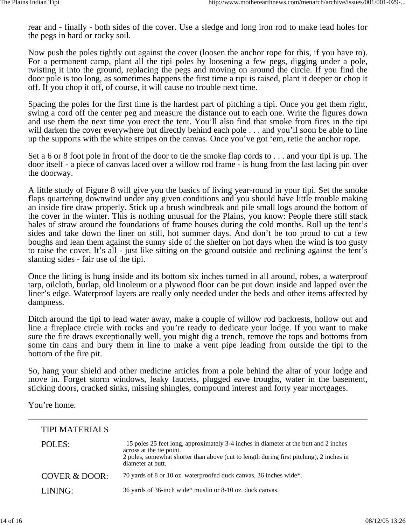rear and - finally - both sides of the cover. Use a sledge and long iron rod to make lead holes for the pegs in hard or rocky soil.

Now push the poles tightly out against the cover (loosen the anchor rope for this, if you have to). For a permanent camp, plant all the tipi poles by loosening a few pegs, digging under a pole, twisting it into the ground, replacing the pegs and moving on around the circle. If you find the door pole is too long, as sometimes happens the first time a tipi is raised, plant it deeper or chop it off. If you chop it off, of course, it will cause no trouble next time.

Spacing the poles for the first time is the hardest part of pitching a tipi. Once you get them right, swing a cord off the center peg and measure the distance out to each one. Write the figures down and use them the next time you erect the tent. You'll also find that smoke from fires in the tipi will darken the cover everywhere but directly behind each pole . . . and you'll soon be able to line up the supports with the white stripes on the canvas. Once you've got 'em, retie the anchor rope.

Set a 6 or 8 foot pole in front of the door to tie the smoke flap cords to . . . and your tipi is up. The door itself - a piece of canvas laced over a willow rod frame - is hung from the last lacing pin over the doorway.

A little study of Figure 8 will give you the basics of living year-round in your tipi. Set the smoke flaps quartering downwind under any given conditions and you should have little trouble making an inside fire draw properly. Stick up a brush windbreak and pile small logs around the bottom of the cover in the winter. This is nothing unusual for the Plains, you know: People there still stack bales of straw around the foundations of frame houses during the cold months. Roll up the tent's sides and take down the liner on still, hot summer days. And don't be too proud to cut a few boughs and lean them against the sunny side of the shelter on hot days when the wind is too gusty to raise the cover. It's all - just like sitting on the ground outside and reclining against the tent's slanting sides - fair use of the tipi.

Once the lining is hung inside and its bottom six inches turned in all around, robes, a waterproof tarp, oilcloth, burlap, old linoleum or a plywood floor can be put down inside and lapped over the liner's edge. Waterproof layers are really only needed under the beds and other items affected by dampness.

Ditch around the tipi to lead water away, make a couple of willow rod backrests, hollow out and line a fireplace circle with rocks and you're ready to dedicate your lodge. If you want to make sure the fire draws exceptionally well, you might dig a trench, remove the tops and bottoms from some tin cans and bury them in line to make a vent pipe leading from outside the tipi to the bottom of the fire pit.

So, hang your shield and other medicine articles from a pole behind the altar of your lodge and move in. Forget storm windows, leaky faucets, plugged eave troughs, water in the basement, sticking doors, cracked sinks, missing shingles, compound interest and forty year mortgages.

You're home.

| <b>TIPI MATERIALS</b> |                                                                                                                                                                                                                                  |
|-----------------------|----------------------------------------------------------------------------------------------------------------------------------------------------------------------------------------------------------------------------------|
| POLES:                | 15 poles 25 feet long, approximately 3-4 inches in diameter at the butt and 2 inches<br>across at the tie point.<br>2 poles, somewhat shorter than above (cut to length during first pitching), 2 inches in<br>diameter at butt. |
| COVER & DOOR:         | 70 yards of 8 or 10 oz. waterproofed duck canvas, 36 inches wide*.                                                                                                                                                               |
| LINING:               | 36 yards of 36-inch wide* muslin or 8-10 oz. duck canvas.                                                                                                                                                                        |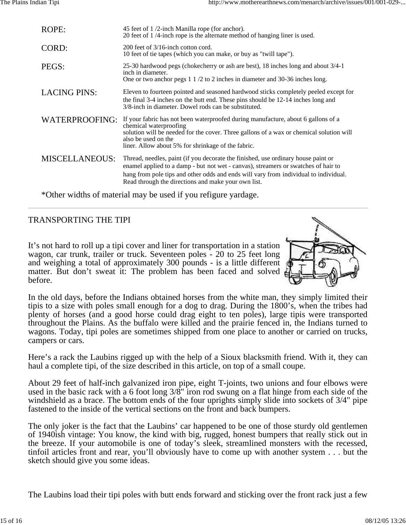| ROPE:                                                          | 45 feet of 1/2-inch Manilla rope (for anchor).<br>20 feet of 1/4-inch rope is the alternate method of hanging liner is used.                                                                                                                                                                                           |  |
|----------------------------------------------------------------|------------------------------------------------------------------------------------------------------------------------------------------------------------------------------------------------------------------------------------------------------------------------------------------------------------------------|--|
| CORD:                                                          | 200 feet of 3/16-inch cotton cord.<br>10 feet of tie tapes (which you can make, or buy as "twill tape").                                                                                                                                                                                                               |  |
| PEGS:                                                          | 25-30 hardwood pegs (chokecherry or ash are best), 18 inches long and about 3/4-1<br>inch in diameter.<br>One or two anchor pegs $1 \frac{1}{2}$ to $2$ inches in diameter and 30-36 inches long.                                                                                                                      |  |
| <b>LACING PINS:</b>                                            | Eleven to fourteen pointed and seasoned hardwood sticks completely peeled except for<br>the final 3-4 inches on the butt end. These pins should be 12-14 inches long and<br>3/8-inch in diameter. Dowel rods can be substituted.                                                                                       |  |
| WATERPROOFING:                                                 | If your fabric has not been waterproofed during manufacture, about 6 gallons of a<br>chemical waterproofing<br>solution will be needed for the cover. Three gallons of a wax or chemical solution will<br>also be used on the<br>liner. Allow about 5% for shrinkage of the fabric.                                    |  |
| <b>MISCELLANEOUS:</b>                                          | Thread, needles, paint (if you decorate the finished, use ordinary house paint or<br>enamel applied to a damp - but not wet - canvas), streamers or swatches of hair to<br>hang from pole tips and other odds and ends will vary from individual to individual.<br>Read through the directions and make your own list. |  |
| *Other widths of material may be used if you refigure yardage. |                                                                                                                                                                                                                                                                                                                        |  |

## TRANSPORTING THE TIPI

It's not hard to roll up a tipi cover and liner for transportation in a station wagon, car trunk, trailer or truck. Seventeen poles - 20 to 25 feet long and weighing a total of approximately 300 pounds - is a little different matter. But don't sweat it: The problem has been faced and solved before.



In the old days, before the Indians obtained horses from the white man, they simply limited their tipis to a size with poles small enough for a dog to drag. During the 1800's, when the tribes had plenty of horses (and a good horse could drag eight to ten poles), large tipis were transported throughout the Plains. As the buffalo were killed and the prairie fenced in, the Indians turned to wagons. Today, tipi poles are sometimes shipped from one place to another or carried on trucks, campers or cars.

Here's a rack the Laubins rigged up with the help of a Sioux blacksmith friend. With it, they can haul a complete tipi, of the size described in this article, on top of a small coupe.

About 29 feet of half-inch galvanized iron pipe, eight T-joints, two unions and four elbows were used in the basic rack with a 6 foot long 3/8" iron rod swung on a flat hinge from each side of the windshield as a brace. The bottom ends of the four uprights simply slide into sockets of 3/4" pipe fastened to the inside of the vertical sections on the front and back bumpers.

The only joker is the fact that the Laubins' car happened to be one of those sturdy old gentlemen of 1940ish vintage: You know, the kind with big, rugged, honest bumpers that really stick out in the breeze. If your automobile is one of today's sleek, streamlined monsters with the recessed, tinfoil articles front and rear, you'll obviously have to come up with another system . . . but the sketch should give you some ideas.

The Laubins load their tipi poles with butt ends forward and sticking over the front rack just a few